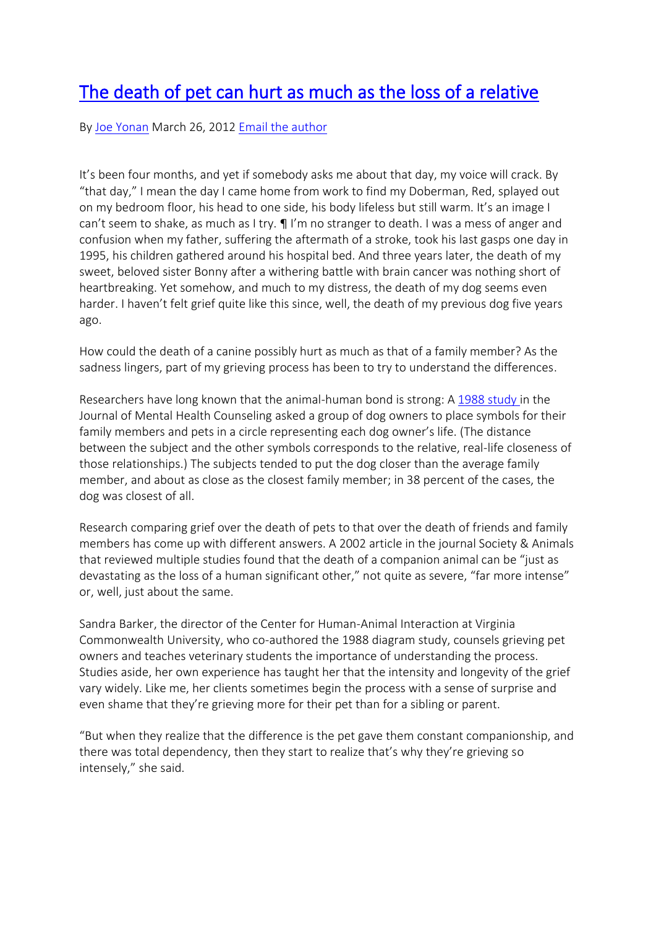# [The death of pet can hurt as much as the loss of a relative](https://www.washingtonpost.com/national/health-science/the-death-of-pet-can-hurt-as-much-as-the-loss-of-a-relative/2012/02/21/gIQALXTXcS_story.html?utm_term=.9beecc500678)

By [Joe Yonan](https://www.washingtonpost.com/people/joe-yonan/) March 26, 2012 [Email the author](mailto:joe.yonan@washpost.com?subject=Reader%20feedback%20for%20)

It's been four months, and yet if somebody asks me about that day, my voice will crack. By "that day," I mean the day I came home from work to find my Doberman, Red, splayed out on my bedroom floor, his head to one side, his body lifeless but still warm. It's an image I can't seem to shake, as much as I try. ¶ I'm no stranger to death. I was a mess of anger and confusion when my father, suffering the aftermath of a stroke, took his last gasps one day in 1995, his children gathered around his hospital bed. And three years later, the death of my sweet, beloved sister Bonny after a withering battle with brain cancer was nothing short of heartbreaking. Yet somehow, and much to my distress, the death of my dog seems even harder. I haven't felt grief quite like this since, well, the death of my previous dog five years ago.

How could the death of a canine possibly hurt as much as that of a family member? As the sadness lingers, part of my grieving process has been to try to understand the differences.

Researchers have long known that the animal-human bond is strong: [A 1988 study i](http://www.chai.vcu.edu/research/sub/journalmental_humancanine_familyties.htm)n the Journal of Mental Health Counseling asked a group of dog owners to place symbols for their family members and pets in a circle representing each dog owner's life. (The distance between the subject and the other symbols corresponds to the relative, real-life closeness of those relationships.) The subjects tended to put the dog closer than the average family member, and about as close as the closest family member; in 38 percent of the cases, the dog was closest of all.

Research comparing grief over the death of pets to that over the death of friends and family members has come up with different answers. A 2002 article in the journal Society & Animals that reviewed multiple studies found that the death of a companion animal can be "just as devastating as the loss of a human significant other," not quite as severe, "far more intense" or, well, just about the same.

Sandra Barker, the director of the Center for Human-Animal Interaction at Virginia Commonwealth University, who co-authored the 1988 diagram study, counsels grieving pet owners and teaches veterinary students the importance of understanding the process. Studies aside, her own experience has taught her that the intensity and longevity of the grief vary widely. Like me, her clients sometimes begin the process with a sense of surprise and even shame that they're grieving more for their pet than for a sibling or parent.

"But when they realize that the difference is the pet gave them constant companionship, and there was total dependency, then they start to realize that's why they're grieving so intensely," she said.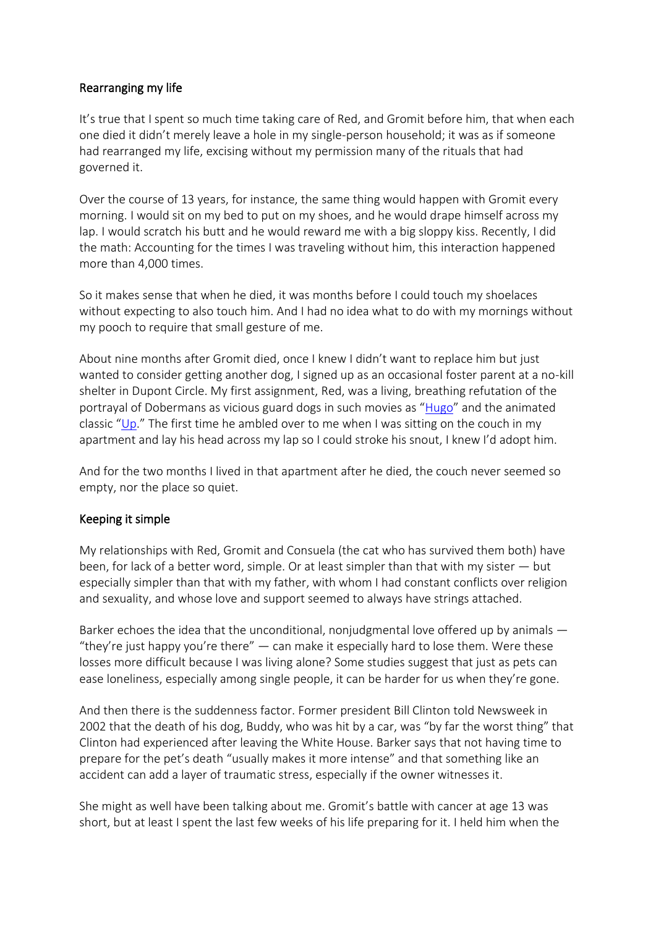#### Rearranging my life

It's true that I spent so much time taking care of Red, and Gromit before him, that when each one died it didn't merely leave a hole in my single-person household; it was as if someone had rearranged my life, excising without my permission many of the rituals that had governed it.

Over the course of 13 years, for instance, the same thing would happen with Gromit every morning. I would sit on my bed to put on my shoes, and he would drape himself across my lap. I would scratch his butt and he would reward me with a big sloppy kiss. Recently, I did the math: Accounting for the times I was traveling without him, this interaction happened more than 4,000 times.

So it makes sense that when he died, it was months before I could touch my shoelaces without expecting to also touch him. And I had no idea what to do with my mornings without my pooch to require that small gesture of me.

About nine months after Gromit died, once I knew I didn't want to replace him but just wanted to consider getting another dog, I signed up as an occasional foster parent at a no-kill shelter in Dupont Circle. My first assignment, Red, was a living, breathing refutation of the portrayal of Dobermans as vicious guard dogs in such movies as "[Hugo](http://www.amazon.com/gp/product/B003Y5H5H4?ie=UTF8&tag=washingtonpost-20&linkCode=xm2&camp=1789&creativeASIN=B003Y5H5H4)" and the animated classic "[Up](http://www.amazon.com/gp/product/B001KVZ6FW?ie=UTF8&tag=washingtonpost-20&linkCode=xm2&camp=1789&creativeASIN=B001KVZ6FW)." The first time he ambled over to me when I was sitting on the couch in my apartment and lay his head across my lap so I could stroke his snout, I knew I'd adopt him.

And for the two months I lived in that apartment after he died, the couch never seemed so empty, nor the place so quiet.

#### Keeping it simple

My relationships with Red, Gromit and Consuela (the cat who has survived them both) have been, for lack of a better word, simple. Or at least simpler than that with my sister — but especially simpler than that with my father, with whom I had constant conflicts over religion and sexuality, and whose love and support seemed to always have strings attached.

Barker echoes the idea that the unconditional, nonjudgmental love offered up by animals — "they're just happy you're there"  $-$  can make it especially hard to lose them. Were these losses more difficult because I was living alone? Some studies suggest that just as pets can ease loneliness, especially among single people, it can be harder for us when they're gone.

And then there is the suddenness factor. Former president Bill Clinton told Newsweek in 2002 that the death of his dog, Buddy, who was hit by a car, was "by far the worst thing" that Clinton had experienced after leaving the White House. Barker says that not having time to prepare for the pet's death "usually makes it more intense" and that something like an accident can add a layer of traumatic stress, especially if the owner witnesses it.

She might as well have been talking about me. Gromit's battle with cancer at age 13 was short, but at least I spent the last few weeks of his life preparing for it. I held him when the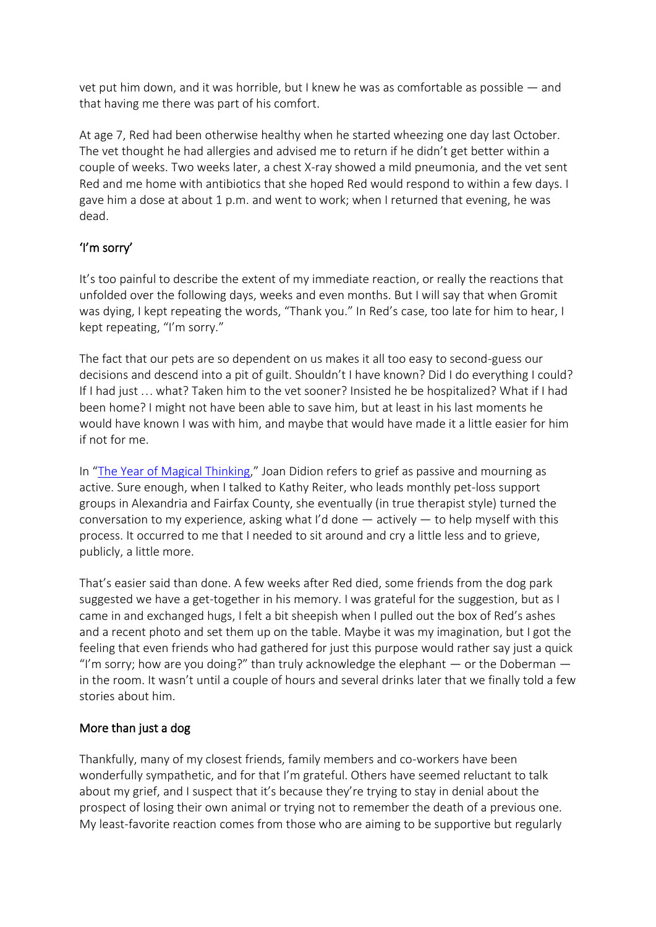vet put him down, and it was horrible, but I knew he was as comfortable as possible — and that having me there was part of his comfort.

At age 7, Red had been otherwise healthy when he started wheezing one day last October. The vet thought he had allergies and advised me to return if he didn't get better within a couple of weeks. Two weeks later, a chest X-ray showed a mild pneumonia, and the vet sent Red and me home with antibiotics that she hoped Red would respond to within a few days. I gave him a dose at about 1 p.m. and went to work; when I returned that evening, he was dead.

## 'I'm sorry'

It's too painful to describe the extent of my immediate reaction, or really the reactions that unfolded over the following days, weeks and even months. But I will say that when Gromit was dying, I kept repeating the words, "Thank you." In Red's case, too late for him to hear, I kept repeating, "I'm sorry."

The fact that our pets are so dependent on us makes it all too easy to second-guess our decisions and descend into a pit of guilt. Shouldn't I have known? Did I do everything I could? If I had just ... what? Taken him to the vet sooner? Insisted he be hospitalized? What if I had been home? I might not have been able to save him, but at least in his last moments he would have known I was with him, and maybe that would have made it a little easier for him if not for me.

In "[The Year of Magical Thinking](http://www.amazon.com/gp/product/1400078431?ie=UTF8&tag=washingtonpost-20&linkCode=xm2&camp=1789&creativeASIN=1400078431)," Joan Didion refers to grief as passive and mourning as active. Sure enough, when I talked to Kathy Reiter, who leads monthly pet-loss support groups in Alexandria and Fairfax County, she eventually (in true therapist style) turned the conversation to my experience, asking what I'd done — actively — to help myself with this process. It occurred to me that I needed to sit around and cry a little less and to grieve, publicly, a little more.

That's easier said than done. A few weeks after Red died, some friends from the dog park suggested we have a get-together in his memory. I was grateful for the suggestion, but as I came in and exchanged hugs, I felt a bit sheepish when I pulled out the box of Red's ashes and a recent photo and set them up on the table. Maybe it was my imagination, but I got the feeling that even friends who had gathered for just this purpose would rather say just a quick "I'm sorry; how are you doing?" than truly acknowledge the elephant  $-$  or the Doberman  $$ in the room. It wasn't until a couple of hours and several drinks later that we finally told a few stories about him.

### More than just a dog

Thankfully, many of my closest friends, family members and co-workers have been wonderfully sympathetic, and for that I'm grateful. Others have seemed reluctant to talk about my grief, and I suspect that it's because they're trying to stay in denial about the prospect of losing their own animal or trying not to remember the death of a previous one. My least-favorite reaction comes from those who are aiming to be supportive but regularly